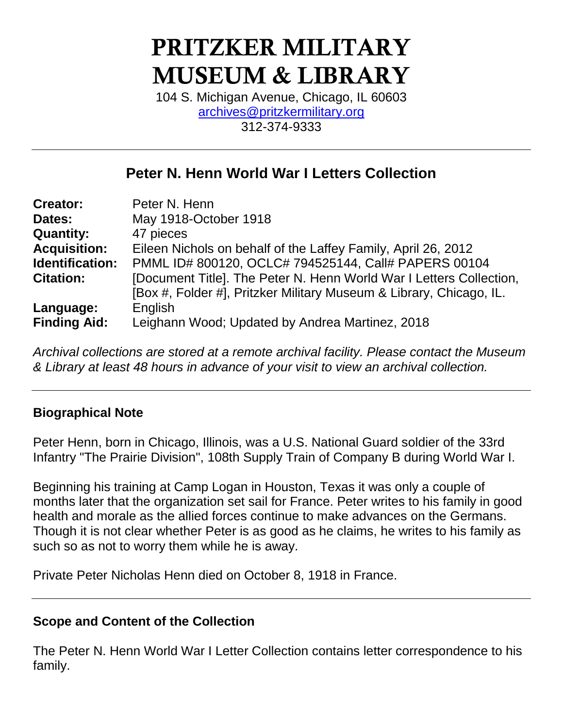# **PRITZKER MILITARY MUSEUM & LIBRARY**

104 S. Michigan Avenue, Chicago, IL 60603 [archives@pritzkermilitary.org](mailto:archives@pritzkermilitary.org) 312-374-9333

### **Peter N. Henn World War I Letters Collection**

| <b>Creator:</b>     | Peter N. Henn                                                       |
|---------------------|---------------------------------------------------------------------|
| Dates:              | May 1918-October 1918                                               |
| <b>Quantity:</b>    | 47 pieces                                                           |
| <b>Acquisition:</b> | Eileen Nichols on behalf of the Laffey Family, April 26, 2012       |
| Identification:     | PMML ID# 800120, OCLC# 794525144, Call# PAPERS 00104                |
| <b>Citation:</b>    | [Document Title]. The Peter N. Henn World War I Letters Collection, |
|                     | [Box #, Folder #], Pritzker Military Museum & Library, Chicago, IL. |
| Language:           | English                                                             |
| <b>Finding Aid:</b> | Leighann Wood; Updated by Andrea Martinez, 2018                     |

*Archival collections are stored at a remote archival facility. Please contact the Museum & Library at least 48 hours in advance of your visit to view an archival collection.*

#### **Biographical Note**

Peter Henn, born in Chicago, Illinois, was a U.S. National Guard soldier of the 33rd Infantry "The Prairie Division", 108th Supply Train of Company B during World War I.

Beginning his training at Camp Logan in Houston, Texas it was only a couple of months later that the organization set sail for France. Peter writes to his family in good health and morale as the allied forces continue to make advances on the Germans. Though it is not clear whether Peter is as good as he claims, he writes to his family as such so as not to worry them while he is away.

Private Peter Nicholas Henn died on October 8, 1918 in France.

#### **Scope and Content of the Collection**

The Peter N. Henn World War I Letter Collection contains letter correspondence to his family.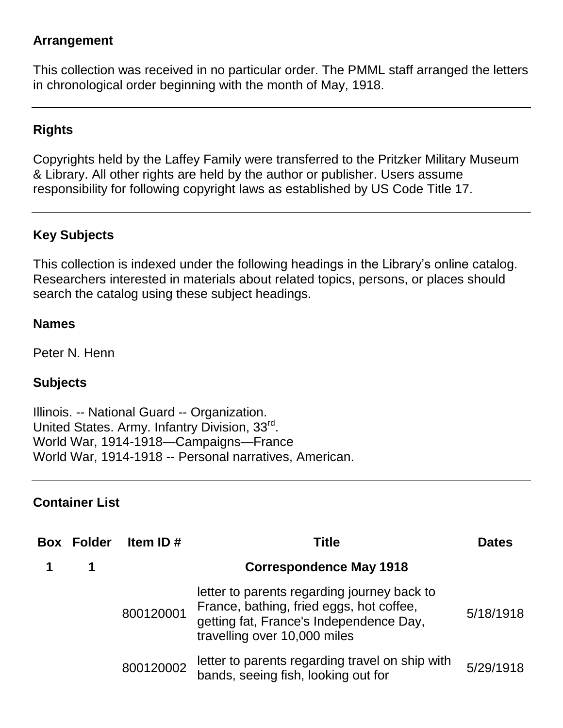#### **Arrangement**

This collection was received in no particular order. The PMML staff arranged the letters in chronological order beginning with the month of May, 1918.

#### **Rights**

Copyrights held by the Laffey Family were transferred to the Pritzker Military Museum & Library. All other rights are held by the author or publisher. Users assume responsibility for following copyright laws as established by US Code Title 17.

#### **Key Subjects**

This collection is indexed under the following headings in the Library's online catalog. Researchers interested in materials about related topics, persons, or places should search the catalog using these subject headings.

#### **Names**

Peter N. Henn

#### **Subjects**

Illinois. -- National Guard -- Organization. United States. Army. Infantry Division, 33rd. World War, 1914-1918—Campaigns—France World War, 1914-1918 -- [Personal narratives, American.](http://prml.ent.sirsi.net/client/search/results.displaypanel.displaycell.detail.mainpanel.newsearch/default/q$003dWorld$002bWar$00252C$002b1914-1918$002b--$002bPersonal$002bnarratives$00252C$002bAmerican.$0026rw$003d0$0026ic$003dfalse$0026dt$003dlist$0026sm$003dfalse$0026)

#### **Container List**

| <b>Box Folder</b> | Item ID $#$ | Title                                                                                                                                                              | <b>Dates</b> |
|-------------------|-------------|--------------------------------------------------------------------------------------------------------------------------------------------------------------------|--------------|
|                   |             | <b>Correspondence May 1918</b>                                                                                                                                     |              |
|                   | 800120001   | letter to parents regarding journey back to<br>France, bathing, fried eggs, hot coffee,<br>getting fat, France's Independence Day,<br>travelling over 10,000 miles | 5/18/1918    |
|                   | 800120002   | letter to parents regarding travel on ship with<br>bands, seeing fish, looking out for                                                                             | 5/29/1918    |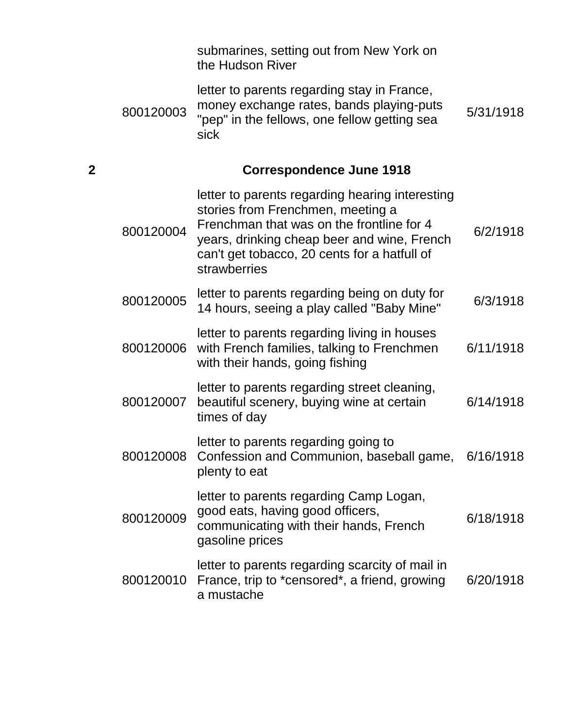|   |           | submarines, setting out from New York on<br>the Hudson River                                                                                                                                                                                     |           |
|---|-----------|--------------------------------------------------------------------------------------------------------------------------------------------------------------------------------------------------------------------------------------------------|-----------|
|   | 800120003 | letter to parents regarding stay in France,<br>money exchange rates, bands playing-puts<br>"pep" in the fellows, one fellow getting sea<br>sick                                                                                                  | 5/31/1918 |
| 2 |           | <b>Correspondence June 1918</b>                                                                                                                                                                                                                  |           |
|   | 800120004 | letter to parents regarding hearing interesting<br>stories from Frenchmen, meeting a<br>Frenchman that was on the frontline for 4<br>years, drinking cheap beer and wine, French<br>can't get tobacco, 20 cents for a hatfull of<br>strawberries | 6/2/1918  |
|   | 800120005 | letter to parents regarding being on duty for<br>14 hours, seeing a play called "Baby Mine"                                                                                                                                                      | 6/3/1918  |
|   | 800120006 | letter to parents regarding living in houses<br>with French families, talking to Frenchmen<br>with their hands, going fishing                                                                                                                    | 6/11/1918 |
|   | 800120007 | letter to parents regarding street cleaning,<br>beautiful scenery, buying wine at certain<br>times of day                                                                                                                                        | 6/14/1918 |
|   | 800120008 | letter to parents regarding going to<br>Confession and Communion, baseball game, 6/16/1918<br>plenty to eat                                                                                                                                      |           |
|   | 800120009 | letter to parents regarding Camp Logan,<br>good eats, having good officers,<br>communicating with their hands, French<br>gasoline prices                                                                                                         | 6/18/1918 |
|   | 800120010 | letter to parents regarding scarcity of mail in<br>France, trip to *censored*, a friend, growing<br>a mustache                                                                                                                                   | 6/20/1918 |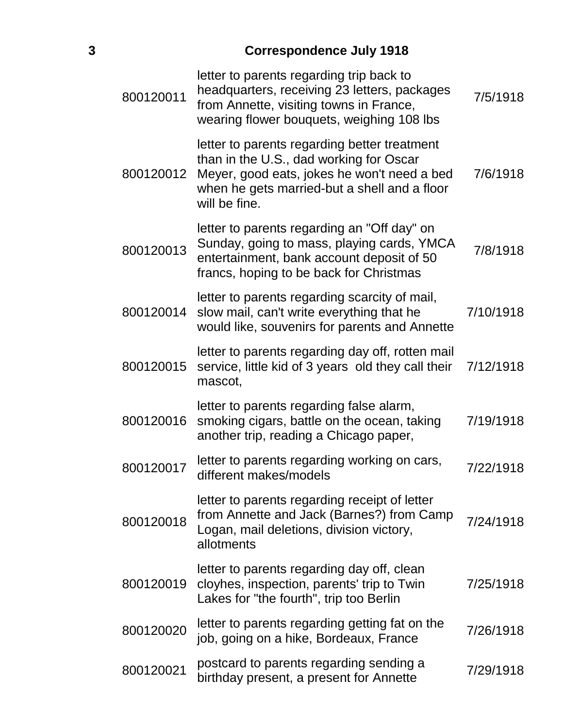## **3 Correspondence July 1918**

| 800120011 | letter to parents regarding trip back to<br>headquarters, receiving 23 letters, packages<br>from Annette, visiting towns in France,<br>wearing flower bouquets, weighing 108 lbs                        | 7/5/1918  |
|-----------|---------------------------------------------------------------------------------------------------------------------------------------------------------------------------------------------------------|-----------|
| 800120012 | letter to parents regarding better treatment<br>than in the U.S., dad working for Oscar<br>Meyer, good eats, jokes he won't need a bed<br>when he gets married-but a shell and a floor<br>will be fine. | 7/6/1918  |
| 800120013 | letter to parents regarding an "Off day" on<br>Sunday, going to mass, playing cards, YMCA<br>entertainment, bank account deposit of 50<br>francs, hoping to be back for Christmas                       | 7/8/1918  |
| 800120014 | letter to parents regarding scarcity of mail,<br>slow mail, can't write everything that he<br>would like, souvenirs for parents and Annette                                                             | 7/10/1918 |
| 800120015 | letter to parents regarding day off, rotten mail<br>service, little kid of 3 years old they call their<br>mascot,                                                                                       | 7/12/1918 |
| 800120016 | letter to parents regarding false alarm,<br>smoking cigars, battle on the ocean, taking<br>another trip, reading a Chicago paper,                                                                       | 7/19/1918 |
| 800120017 | letter to parents regarding working on cars,<br>different makes/models                                                                                                                                  | 7/22/1918 |
| 800120018 | letter to parents regarding receipt of letter<br>from Annette and Jack (Barnes?) from Camp<br>Logan, mail deletions, division victory,<br>allotments                                                    | 7/24/1918 |
| 800120019 | letter to parents regarding day off, clean<br>cloyhes, inspection, parents' trip to Twin<br>Lakes for "the fourth", trip too Berlin                                                                     | 7/25/1918 |
| 800120020 | letter to parents regarding getting fat on the<br>job, going on a hike, Bordeaux, France                                                                                                                | 7/26/1918 |
| 800120021 | postcard to parents regarding sending a<br>birthday present, a present for Annette                                                                                                                      | 7/29/1918 |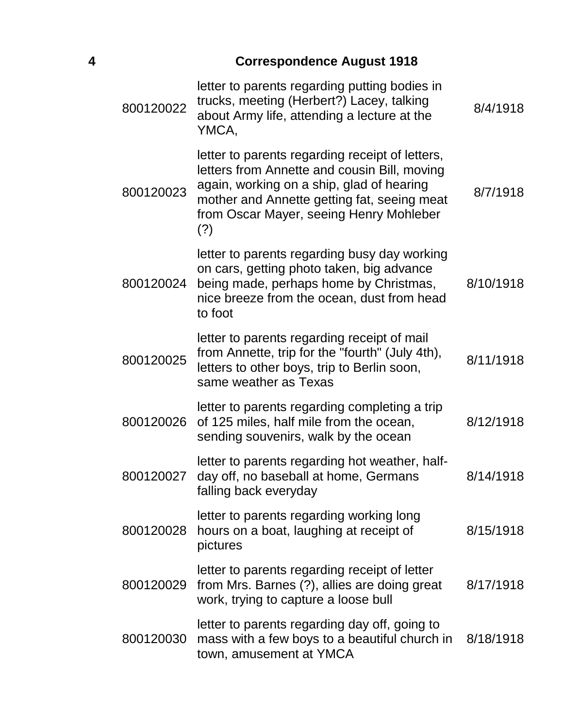## **4 Correspondence August 1918**

| 800120022 | letter to parents regarding putting bodies in<br>trucks, meeting (Herbert?) Lacey, talking<br>about Army life, attending a lecture at the<br>YMCA,                                                                                            | 8/4/1918  |
|-----------|-----------------------------------------------------------------------------------------------------------------------------------------------------------------------------------------------------------------------------------------------|-----------|
| 800120023 | letter to parents regarding receipt of letters,<br>letters from Annette and cousin Bill, moving<br>again, working on a ship, glad of hearing<br>mother and Annette getting fat, seeing meat<br>from Oscar Mayer, seeing Henry Mohleber<br>(?) | 8/7/1918  |
| 800120024 | letter to parents regarding busy day working<br>on cars, getting photo taken, big advance<br>being made, perhaps home by Christmas,<br>nice breeze from the ocean, dust from head<br>to foot                                                  | 8/10/1918 |
| 800120025 | letter to parents regarding receipt of mail<br>from Annette, trip for the "fourth" (July 4th),<br>letters to other boys, trip to Berlin soon,<br>same weather as Texas                                                                        | 8/11/1918 |
| 800120026 | letter to parents regarding completing a trip<br>of 125 miles, half mile from the ocean,<br>sending souvenirs, walk by the ocean                                                                                                              | 8/12/1918 |
| 800120027 | letter to parents regarding hot weather, half-<br>day off, no baseball at home, Germans<br>falling back everyday                                                                                                                              | 8/14/1918 |
| 800120028 | letter to parents regarding working long<br>hours on a boat, laughing at receipt of<br>pictures                                                                                                                                               | 8/15/1918 |
| 800120029 | letter to parents regarding receipt of letter<br>from Mrs. Barnes (?), allies are doing great<br>work, trying to capture a loose bull                                                                                                         | 8/17/1918 |
| 800120030 | letter to parents regarding day off, going to<br>mass with a few boys to a beautiful church in<br>town, amusement at YMCA                                                                                                                     | 8/18/1918 |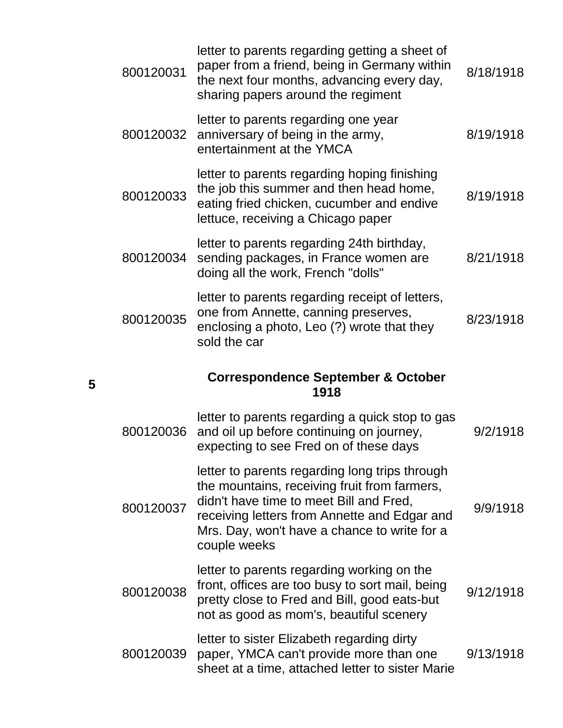| 800120031 | letter to parents regarding getting a sheet of<br>paper from a friend, being in Germany within<br>the next four months, advancing every day,<br>sharing papers around the regiment                                                                        | 8/18/1918 |
|-----------|-----------------------------------------------------------------------------------------------------------------------------------------------------------------------------------------------------------------------------------------------------------|-----------|
| 800120032 | letter to parents regarding one year<br>anniversary of being in the army,<br>entertainment at the YMCA                                                                                                                                                    | 8/19/1918 |
| 800120033 | letter to parents regarding hoping finishing<br>the job this summer and then head home,<br>eating fried chicken, cucumber and endive<br>lettuce, receiving a Chicago paper                                                                                | 8/19/1918 |
| 800120034 | letter to parents regarding 24th birthday,<br>sending packages, in France women are<br>doing all the work, French "dolls"                                                                                                                                 | 8/21/1918 |
| 800120035 | letter to parents regarding receipt of letters,<br>one from Annette, canning preserves,<br>enclosing a photo, Leo (?) wrote that they<br>sold the car                                                                                                     | 8/23/1918 |
|           |                                                                                                                                                                                                                                                           |           |
|           | <b>Correspondence September &amp; October</b><br>1918                                                                                                                                                                                                     |           |
| 800120036 | letter to parents regarding a quick stop to gas<br>and oil up before continuing on journey,<br>expecting to see Fred on of these days                                                                                                                     | 9/2/1918  |
| 800120037 | letter to parents regarding long trips through<br>the mountains, receiving fruit from farmers,<br>didn't have time to meet Bill and Fred,<br>receiving letters from Annette and Edgar and<br>Mrs. Day, won't have a chance to write for a<br>couple weeks | 9/9/1918  |
| 800120038 | letter to parents regarding working on the<br>front, offices are too busy to sort mail, being<br>pretty close to Fred and Bill, good eats-but<br>not as good as mom's, beautiful scenery                                                                  | 9/12/1918 |

**5**